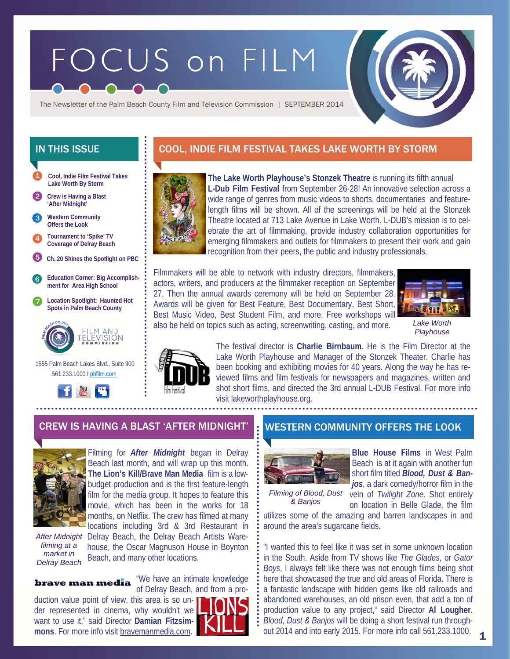# FOCUS on FILM



The Newsletter of the Palm Beach County Film and Television Commission | SEPTEMBER 2014

- **Cool, Indie Film Festival Takes Lake Worth By Storm**  1
- 2 **Crew is Having a Blast 'After Midnight'**

**Western Community Offers the Look**  3

- 4 **Tournament to 'Spike' TV Coverage of Delray Beach**
- 5 **Ch. 20 Shines the Spotlight on PBC**
- 6 **Education Corner: Big Accomplishment for Area High School**
- 7 **Location Spotlight: Haunted Hot Spots in Palm Beach County**



 1555 Palm Beach Lakes Blvd., Suite 900 561.233.1000 I pbfilm.com



# IN THIS ISSUE **COOL, INDIE FILM FESTIVAL TAKES LAKE WORTH BY STORM**



**The Lake Worth Playhouse's Stonzek Theatre** is running its fifth annual **L-Dub Film Festival** from September 26-28! An innovative selection across a wide range of genres from music videos to shorts, documentaries and featurelength films will be shown. All of the screenings will be held at the Stonzek Theatre located at 713 Lake Avenue in Lake Worth. L-DUB's mission is to celebrate the art of filmmaking, provide industry collaboration opportunities for emerging filmmakers and outlets for filmmakers to present their work and gain recognition from their peers, the public and industry professionals.

Filmmakers will be able to network with industry directors, filmmakers, actors, writers, and producers at the filmmaker reception on September 27. Then the annual awards ceremony will be held on September 28. Awards will be given for Best Feature, Best Documentary, Best Short, Best Music Video, Best Student Film, and more. Free workshops will also be held on topics such as acting, screenwriting, casting, and more.



*Lake Worth Playhouse* 



The festival director is **Charlie Birnbaum**. He is the Film Director at the Lake Worth Playhouse and Manager of the Stonzek Theater. Charlie has been booking and exhibiting movies for 40 years. Along the way he has reviewed films and film festivals for newspapers and magazines, written and shot short films, and directed the 3rd annual L-DUB Festival. For more info visit lakeworthplayhouse.org.

## CREW IS HAVING A BLAST 'AFTER MIDNIGHT' N WESTERN COMMUNITY OFFERS THE LOOK



Filming for *After Midnight* began in Delray Beach last month, and will wrap up this month. **The Lion's Kill/Brave Man Media** film is a lowbudget production and is the first feature-length film for the media group. It hopes to feature this movie, which has been in the works for 18 months, on Netflix. The crew has filmed at many locations including 3rd & 3rd Restaurant in

*filming at a market in Delray Beach* 

After Midnight Delray Beach, the Delray Beach Artists Warehouse, the Oscar Magnuson House in Boynton Beach, and many other locations.

brave man media

"We have an intimate knowledge of Delray Beach, and from a pro-

duction value point of view, this area is so under represented in cinema, why wouldn't we want to use it," said Director **Damian Fitzsimmons**. For more info visit bravemanmedia.com.





**Blue House Films** in West Palm Beach is at it again with another fun short film titled *Blood, Dust & Ban-*

*Filming of Blood, Dust & Banjos* 

*jos*, a dark comedy/horror film in the vein of *Twilight Zone*. Shot entirely on location in Belle Glade, the film

1

utilizes some of the amazing and barren landscapes in and around the area's sugarcane fields.

"I wanted this to feel like it was set in some unknown location in the South. Aside from TV shows like *The Glades*, or *Gator Boys*, I always felt like there was not enough films being shot here that showcased the true and old areas of Florida. There is a fantastic landscape with hidden gems like old railroads and abandoned warehouses, an old prison even, that add a ton of production value to any project," said Director **Al Lougher**. *Blood, Dust & Banjos* will be doing a short festival run throughout 2014 and into early 2015. For more info call 561.233.1000.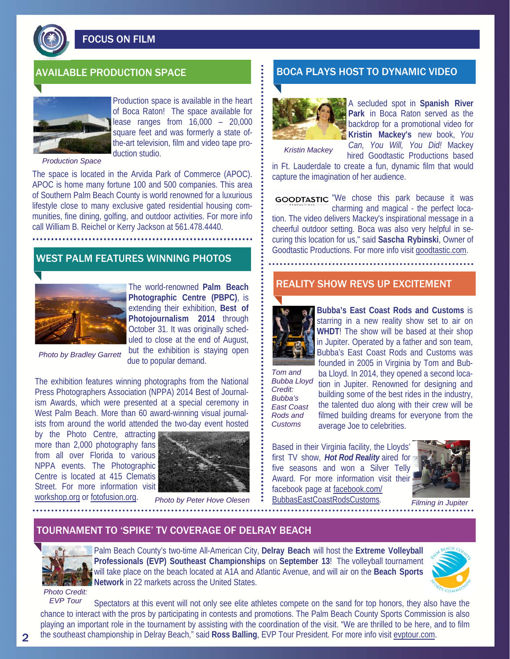

FOCUS ON FILM



Production space is available in the heart of Boca Raton! The space available for lease ranges from 16,000 – 20,000 square feet and was formerly a state ofthe-art television, film and video tape production studio.

*Production Space* 

The space is located in the Arvida Park of Commerce (APOC). APOC is home many fortune 100 and 500 companies. This area of Southern Palm Beach County is world renowned for a luxurious lifestyle close to many exclusive gated residential housing communities, fine dining, golfing, and outdoor activities. For more info call William B. Reichel or Kerry Jackson at 561.478.4440.

# WEST PALM FEATURES WINNING PHOTOS



The world-renowned **Palm Beach Photographic Centre (PBPC)**, is extending their exhibition, **Best of Photojournalism 2014** through October 31. It was originally scheduled to close at the end of August, but the exhibition is staying open due to popular demand.

*Photo by Bradley Garrett* 

The exhibition features winning photographs from the National Press Photographers Association (NPPA) 2014 Best of Journalism Awards, which were presented at a special ceremony in West Palm Beach. More than 60 award-winning visual journal-

ists from around the world attended the two-day event hosted by the Photo Centre, attracting more than 2,000 photography fans from all over Florida to various NPPA events. The Photographic Centre is located at 415 Clematis Street. For more information visit workshop.org or fotofusion.org.



*Photo by Peter Hove Olesen* 

## AVAILABLE PRODUCTION SPACE BOCA PLAYS HOST TO DYNAMIC VIDEO



A secluded spot in **Spanish River Park** in Boca Raton served as the backdrop for a promotional video for **Kristin Mackey's** new book, *You Can, You Will, You Did!* Mackey

*Kristin Mackey* 

hired Goodtastic Productions based in Ft. Lauderdale to create a fun, dynamic film that would capture the imagination of her audience.

GOODTASTIC "We chose this park because it was charming and magical - the perfect location. The video delivers Mackey's inspirational message in a cheerful outdoor setting. Boca was also very helpful in securing this location for us," said **Sascha Rybinski**, Owner of Goodtastic Productions. For more info visit goodtastic.com.

## REALITY SHOW REVS UP EXCITEMENT



**Bubba's East Coast Rods and Customs** is starring in a new reality show set to air on **WHDT**! The show will be based at their shop in Jupiter. Operated by a father and son team, Bubba's East Coast Rods and Customs was founded in 2005 in Virginia by Tom and Bub-

*Bubba Lloyd Credit: Bubba's East Coast Rods and Customs* 

*Tom and* 

ba Lloyd. In 2014, they opened a second location in Jupiter. Renowned for designing and building some of the best rides in the industry, the talented duo along with their crew will be filmed building dreams for everyone from the average Joe to celebrities.

Based in their Virginia facility, the Lloyds' first TV show, *Hot Rod Reality* aired for five seasons and won a Silver Telly Award. For more information visit their facebook page at facebook.com/ BubbasEastCoastRodsCustoms.



*Filming in Jupiter* 

### TOURNAMENT TO 'SPIKE' TV COVERAGE OF DELRAY BEACH



Palm Beach County's two-time All-American City, **Delray Beach** will host the **Extreme Volleyball Professionals (EVP) Southeast Championships** on **September 13**! The volleyball tournament will take place on the beach located at A1A and Atlantic Avenue, and will air on the **Beach Sports Network** in 22 markets across the United States.



*Photo Credit:* 

Spectators at this event will not only see elite athletes compete on the sand for top honors, they also have the chance to interact with the pros by participating in contests and promotions. The Palm Beach County Sports Commission is also playing an important role in the tournament by assisting with the coordination of the visit. "We are thrilled to be here, and to film the southeast championship in Delray Beach," said **Ross Balling**, EVP Tour President. For more info visit evptour.com. *EVP Tour*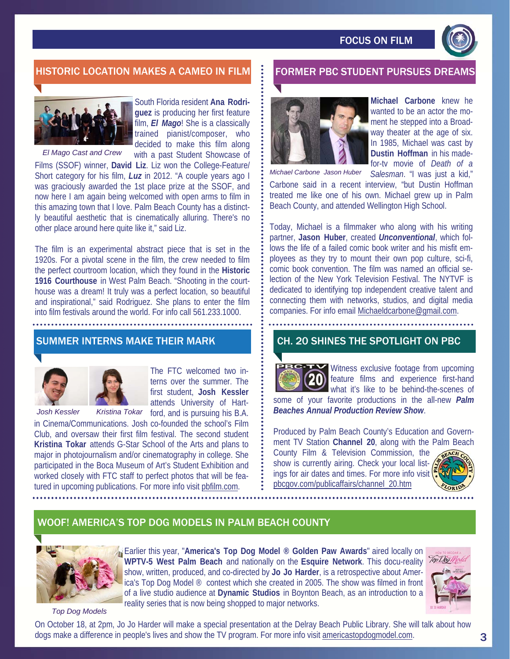

# HISTORIC LOCATION MAKES A CAMEO IN FILM **FORMER PBC STUDENT PURSUES DREAM**



South Florida resident **Ana Rodriguez** is producing her first feature film, *El Mago*! She is a classically trained pianist/composer, who decided to make this film along with a past Student Showcase of

Films (SSOF) winner, **David Liz**. Liz won the College-Feature/ Short category for his film, *Luz* in 2012. "A couple years ago I was graciously awarded the 1st place prize at the SSOF, and now here I am again being welcomed with open arms to film in this amazing town that I love. Palm Beach County has a distinctly beautiful aesthetic that is cinematically alluring. There's no other place around here quite like it," said Liz. *El Mago Cast and Crew* 

The film is an experimental abstract piece that is set in the 1920s. For a pivotal scene in the film, the crew needed to film the perfect courtroom location, which they found in the **Historic 1916 Courthouse** in West Palm Beach. "Shooting in the courthouse was a dream! It truly was a perfect location, so beautiful and inspirational," said Rodriguez. She plans to enter the film into film festivals around the world. For info call 561.233.1000.

# SUMMER INTERNS MAKE THEIR MARK



The FTC welcomed two in-



terns over the summer. The first student, **Josh Kessler**  attends University of Hartford, and is pursuing his B.A.

in Cinema/Communications. Josh co-founded the school's Film Club, and oversaw their first film festival. The second student **Kristina Tokar** attends G-Star School of the Arts and plans to major in photojournalism and/or cinematography in college. She participated in the Boca Museum of Art's Student Exhibition and worked closely with FTC staff to perfect photos that will be featured in upcoming publications. For more info visit pbfilm.com.



**Michael Carbone** knew he wanted to be an actor the moment he stepped into a Broadway theater at the age of six. In 1985, Michael was cast by **Dustin Hoffman** in his madefor-tv movie of *Death of a Salesman*. "I was just a kid,"

*Michael Carbone Jason Huber* 

Carbone said in a recent interview, "but Dustin Hoffman treated me like one of his own. Michael grew up in Palm Beach County, and attended Wellington High School.

Today, Michael is a filmmaker who along with his writing partner, **Jason Huber**, created *Unconventional*, which follows the life of a failed comic book writer and his misfit employees as they try to mount their own pop culture, sci-fi, comic book convention. The film was named an official selection of the New York Television Festival. The NYTVF is dedicated to identifying top independent creative talent and connecting them with networks, studios, and digital media companies. For info email Michaeldcarbone@gmail.com.

## CH. 20 SHINES THE SPOTLIGHT ON PBC



Witness exclusive footage from upcoming feature films and experience first-hand what it's like to be behind-the-scenes of some of your favorite productions in the all-new *Palm* 

*Beaches Annual Production Review Show*. Produced by Palm Beach County's Education and Govern-

ment TV Station **Channel 20**, along with the Palm Beach County Film & Television Commission, the

show is currently airing. Check your local listings for air dates and times. For more info visit pbcgov.com/publicaffairs/channel\_20.htm



# WOOF! AMERICA'S TOP DOG MODELS IN PALM BEACH COUNTY



Earlier this year, "**America's Top Dog Model ® Golden Paw Awards**" aired locally on **WPTV-5 West Palm Beach** and nationally on the **Esquire Network**. This docu-reality show, written, produced, and co-directed by **Jo Jo Harder**, is a retrospective about America's Top Dog Model ® contest which she created in 2005. The show was filmed in front of a live studio audience at **Dynamic Studios** in Boynton Beach, as an introduction to a reality series that is now being shopped to major networks.



*Top Dog Models* 

On October 18, at 2pm, Jo Jo Harder will make a special presentation at the Delray Beach Public Library. She will talk about how dogs make a difference in people's lives and show the TV program. For more info visit americastopdogmodel.com.